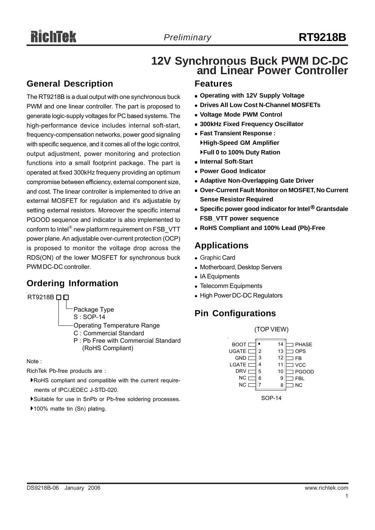# **12V Synchronous Buck PWM DC-DC and Linear Power Controller**

## **General Description**

The RT9218B is a dual output with one synchronous buck PWM and one linear controller. The part is proposed to generate logic-supply voltages for PC based systems. The high-performance device includes internal soft-start, frequency-compensation networks, power good signaling with specific sequence, and it comes all of the logic control, output adjustment, power monitoring and protection functions into a small footprint package. The part is operated at fixed 300kHz frequeny providing an optimum compromise between efficiency, external component size, and cost. The linear controller is implemented to drive an external MOSFET for regulation and it's adjustable by setting external resistors. Moreover the specific internal PGOOD sequence and indicator is also implemented to conform to Intel® new platform requirement on FSB\_VTT power plane. An adjustable over-current protection (OCP) is proposed to monitor the voltage drop across the RDS(ON) of the lower MOSFET for synchronous buck PWM DC-DC controller.

## **Ordering Information**

RT9218B<sub>□</sub>

Package Type

S : SOP-14

- Operating Temperature Range
- C : Commercial Standard
- P : Pb Free with Commercial Standard (RoHS Compliant)

Note :

RichTek Pb-free products are :

- `RoHS compliant and compatible with the current require ments of IPC/JEDEC J-STD-020.
- `Suitable for use in SnPb or Pb-free soldering processes.
- ▶100% matte tin (Sn) plating.

## **Features**

- **Operating with 12V Supply Voltage**
- **Drives All Low Cost N-Channel MOSFETs**
- <sup>z</sup> **Voltage Mode PWM Control**
- <sup>z</sup> **300kHz Fixed Frequency Oscillator**
- <sup>z</sup> **Fast Transient Response :** `**High-Speed GM Amplifier** `**Full 0 to 100% Duty Ration**
- <sup>z</sup> **Internal Soft-Start**
- **Power Good Indicator**
- **Adaptive Non-Overlapping Gate Driver**
- **Over-Current Fault Monitor on MOSFET, No Current Sense Resistor Required**
- <sup>z</sup> **Specific power good indicator for Intel® Grantsdale FSB\_VTT power sequence**
- <sup>z</sup> **RoHS Compliant and 100% Lead (Pb)-Free**

## **Applications**

- Graphic Card
- Motherboard, Desktop Servers
- IA Equipments
- Telecomm Equipments
- High Power DC-DC Regulators

## **Pin Configurations**

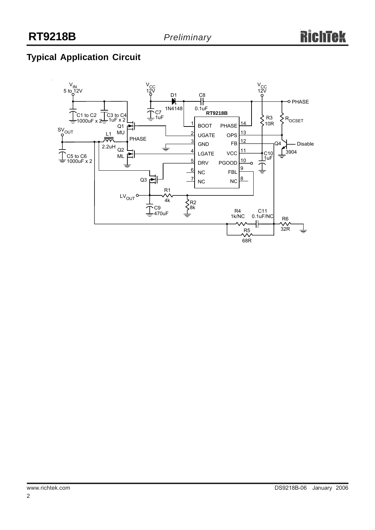## **Typical Application Circuit**

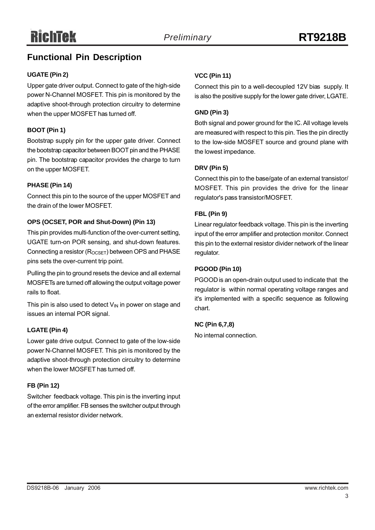## **Functional Pin Description**

## **UGATE (Pin 2)**

Upper gate driver output. Connect to gate of the high-side power N-Channel MOSFET. This pin is monitored by the adaptive shoot-through protection circuitry to determine when the upper MOSFET has turned off.

## **BOOT (Pin 1)**

Bootstrap supply pin for the upper gate driver. Connect the bootstrap capacitor between BOOT pin and the PHASE pin. The bootstrap capacitor provides the charge to turn on the upper MOSFET.

## **PHASE (Pin 14)**

Connect this pin to the source of the upper MOSFET and the drain of the lower MOSFET.

## **OPS (OCSET, POR and Shut-Down) (Pin 13)**

This pin provides multi-function of the over-current setting, UGATE turn-on POR sensing, and shut-down features. Connecting a resistor  $(R_{OCSFT})$  between OPS and PHASE pins sets the over-current trip point.

Pulling the pin to ground resets the device and all external MOSFETs are turned off allowing the output voltage power rails to float.

This pin is also used to detect  $V_{\text{IN}}$  in power on stage and issues an internal POR signal.

#### **LGATE (Pin 4)**

Lower gate drive output. Connect to gate of the low-side power N-Channel MOSFET. This pin is monitored by the adaptive shoot-through protection circuitry to determine when the lower MOSFET has turned off.

#### **FB (Pin 12)**

Switcher feedback voltage. This pin is the inverting input of the error amplifier. FB senses the switcher output through an external resistor divider network.

## **VCC (Pin 11)**

Connect this pin to a well-decoupled 12V bias supply. It is also the positive supply for the lower gate driver, LGATE.

#### **GND (Pin 3)**

Both signal and power ground for the IC. All voltage levels are measured with respect to this pin. Ties the pin directly to the low-side MOSFET source and ground plane with the lowest impedance.

## **DRV (Pin 5)**

Connect this pin to the base/gate of an external transistor/ MOSFET. This pin provides the drive for the linear regulator's pass transistor/MOSFET.

## **FBL (Pin 9)**

Linear regulator feedback voltage. This pin is the inverting input of the error amplifier and protection monitor. Connect this pin to the external resistor divider network of the linear regulator.

#### **PGOOD (Pin 10)**

PGOOD is an open-drain output used to indicate that the regulator is within normal operating voltage ranges and it's implemented with a specific sequence as following chart.

#### **NC (Pin 6,7,8)**

No internal connection.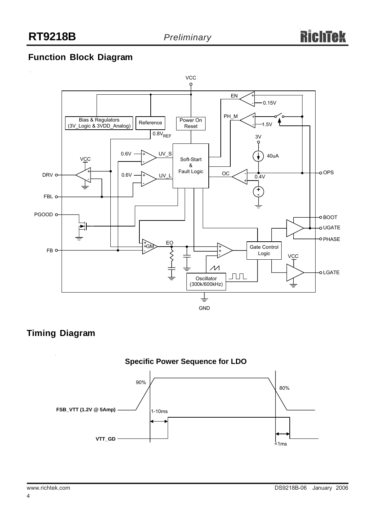## **Function Block Diagram**



## **Timing Diagram**

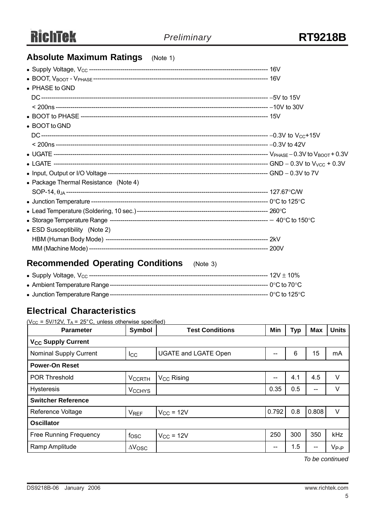## **Absolute Maximum Ratings** (Note 1)

| • PHASE to GND                        |  |
|---------------------------------------|--|
|                                       |  |
|                                       |  |
|                                       |  |
| • BOOT to GND                         |  |
|                                       |  |
|                                       |  |
|                                       |  |
|                                       |  |
|                                       |  |
| • Package Thermal Resistance (Note 4) |  |
|                                       |  |
|                                       |  |
|                                       |  |
|                                       |  |
| • ESD Susceptibility (Note 2)         |  |
|                                       |  |
|                                       |  |

## **Recommended Operating Conditions** (Note 3)

## **Electrical Characteristics**

 $(V_{CC} = 5V/12V, T_A = 25^{\circ}C,$  unless otherwise specified)

| <b>Parameter</b>                     | Symbol          | <b>Test Conditions</b>      | Min   | <b>Typ</b> | <b>Max</b> | <b>Units</b> |  |
|--------------------------------------|-----------------|-----------------------------|-------|------------|------------|--------------|--|
| <b>V<sub>CC</sub> Supply Current</b> |                 |                             |       |            |            |              |  |
| <b>Nominal Supply Current</b>        | $_{\text{lcc}}$ | <b>UGATE and LGATE Open</b> | --    | $\,6$      | 15         | mA           |  |
| <b>Power-On Reset</b>                |                 |                             |       |            |            |              |  |
| POR Threshold                        | <b>VCCRTH</b>   | V <sub>CC</sub> Rising      | --    | 4.1        | 4.5        | V            |  |
| <b>Hysteresis</b>                    | <b>VCCHYS</b>   |                             | 0.35  | 0.5        | --         | V            |  |
| <b>Switcher Reference</b>            |                 |                             |       |            |            |              |  |
| <b>Reference Voltage</b>             | <b>VREF</b>     | $V_{CC}$ = 12V              | 0.792 | 0.8        | 0.808      | V            |  |
| <b>Oscillator</b>                    |                 |                             |       |            |            |              |  |
| <b>Free Running Frequency</b>        | fosc            | $V_{CC}$ = 12V              | 250   | 300        | 350        | <b>kHz</b>   |  |
| Ramp Amplitude                       | $\Delta V$ OSC  |                             | --    | 1.5        | $- -$      | $V_{P-P}$    |  |

*To be continued*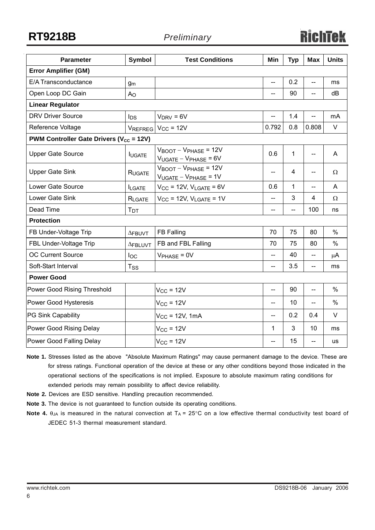**RT9218B** *Preliminary*

| <b>Parameter</b>                                               | Symbol          | <b>Test Conditions</b>                                                     | Min                      | <b>Typ</b> | <b>Max</b> | <b>Units</b>  |  |
|----------------------------------------------------------------|-----------------|----------------------------------------------------------------------------|--------------------------|------------|------------|---------------|--|
| <b>Error Amplifier (GM)</b>                                    |                 |                                                                            |                          |            |            |               |  |
| E/A Transconductance                                           | g <sub>m</sub>  |                                                                            | <u></u>                  | 0.2        |            | ms            |  |
| Open Loop DC Gain                                              | A <sub>O</sub>  |                                                                            | --                       | 90         |            | dB            |  |
| <b>Linear Regulator</b>                                        |                 |                                                                            |                          |            |            |               |  |
| <b>DRV Driver Source</b>                                       | $I_{DS}$        | $V_{DRV} = 6V$                                                             | --                       | 1.4        | --         | mA            |  |
| Reference Voltage                                              |                 | $V_{REFREG}$ $V_{CC}$ = 12V                                                | 0.792                    | 0.8        | 0.808      | V             |  |
| <b>PWM Controller Gate Drivers (<math>V_{cc}</math> = 12V)</b> |                 |                                                                            |                          |            |            |               |  |
| <b>Upper Gate Source</b>                                       | <b>IUGATE</b>   | $V_{\text{BOOT}} - V_{\text{PHASE}} = 12V$<br>$V_{UGATE} - V_{PHASE} = 6V$ | 0.6                      | 1          | --         | A             |  |
| <b>Upper Gate Sink</b>                                         | <b>RUGATE</b>   | $V_{\text{BOOT}} - V_{\text{PHASE}} = 12V$<br>$V_{UGATE} - V_{PHASE} = 1V$ | --                       | 4          | --         | Ω             |  |
| Lower Gate Source                                              | <b>ILGATE</b>   | $V_{CC}$ = 12V, $V_{LGATE}$ = 6V                                           | 0.6                      | 1          | $-$        | A             |  |
| Lower Gate Sink                                                | RLGATE          | $V_{CC}$ = 12V, $V_{LGATE}$ = 1V                                           | --                       | 3          | 4          | Ω             |  |
| Dead Time                                                      | T <sub>DT</sub> |                                                                            | --                       | $-$        | 100        | ns            |  |
| <b>Protection</b>                                              |                 |                                                                            |                          |            |            |               |  |
| FB Under-Voltage Trip                                          | $\Delta$ FBUVT  | <b>FB Falling</b>                                                          | 70                       | 75         | 80         | $\frac{0}{0}$ |  |
| FBL Under-Voltage Trip                                         | <b>AFBLUVT</b>  | FB and FBL Falling                                                         | 70                       | 75         | 80         | %             |  |
| OC Current Source                                              | $I_{\rm OC}$    | $V_{PHASE} = 0V$                                                           | $\overline{a}$           | 40         | --         | μA            |  |
| Soft-Start Interval                                            | $T_{\rm SS}$    |                                                                            | $\overline{\phantom{a}}$ | 3.5        | --         | ms            |  |
| <b>Power Good</b>                                              |                 |                                                                            |                          |            |            |               |  |
| Power Good Rising Threshold                                    |                 | $V_{CC}$ = 12V                                                             | $-$                      | 90         | $-$        | $\%$          |  |
| Power Good Hysteresis                                          |                 | $V_{CC}$ = 12V                                                             | $-$                      | 10         |            | $\%$          |  |
| PG Sink Capability                                             |                 | $V_{CC}$ = 12V, 1mA                                                        | --                       | 0.2        | 0.4        | $\vee$        |  |
| Power Good Rising Delay                                        |                 | $V_{CC}$ = 12V                                                             | 1                        | 3          | 10         | ms            |  |
| Power Good Falling Delay                                       |                 | $V_{CC}$ = 12V                                                             | $-$                      | 15         | --         | us            |  |

**Note 1.** Stresses listed as the above "Absolute Maximum Ratings" may cause permanent damage to the device. These are for stress ratings. Functional operation of the device at these or any other conditions beyond those indicated in the operational sections of the specifications is not implied. Exposure to absolute maximum rating conditions for extended periods may remain possibility to affect device reliability.

- **Note 2.** Devices are ESD sensitive. Handling precaution recommended.
- **Note 3.** The device is not guaranteed to function outside its operating conditions.
- **Note 4.**  $\theta_{JA}$  is measured in the natural convection at  $T_A = 25^\circ \text{C}$  on a low effective thermal conductivity test board of JEDEC 51-3 thermal measurement standard.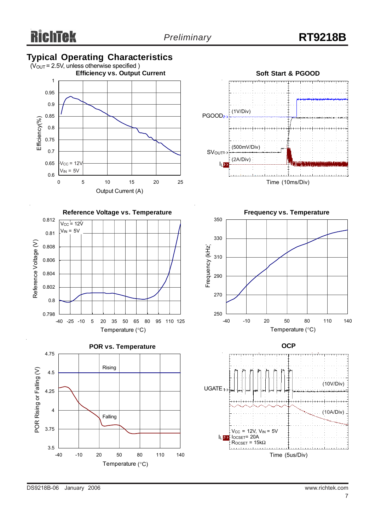## **Typical Operating Characteristics**











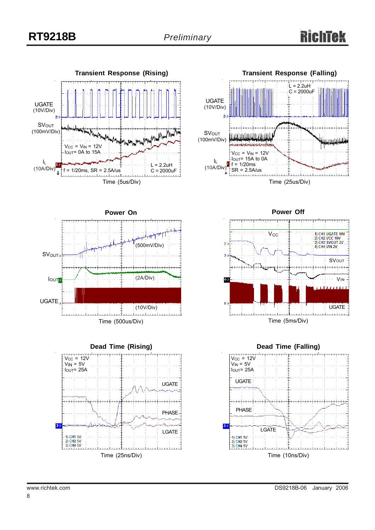











www.richtek.com DS9218B-06 January 2006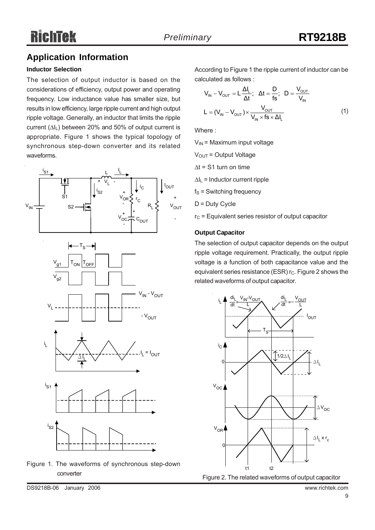## **Application Information**

## **Inductor Selection**

The selection of output inductor is based on the considerations of efficiency, output power and operating frequency. Low inductance value has smaller size, but results in low efficiency, large ripple current and high output ripple voltage. Generally, an inductor that limits the ripple current  $(\Delta I_L)$  between 20% and 50% of output current is appropriate. Figure 1 shows the typical topology of synchronous step-down converter and its related waveforms.





According to Figure 1 the ripple current of inductor can be calculated as follows :

$$
V_{IN} - V_{OUT} = L \frac{\Delta I_L}{\Delta t}; \quad \Delta t = \frac{D}{fs}; \quad D = \frac{V_{OUT}}{V_{IN}}
$$

$$
L = (V_{IN} - V_{OUT}) \times \frac{V_{OUT}}{V_{IN} \times fs \times \Delta I_L}
$$
(1)

Where :

 $V_{IN}$  = Maximum input voltage

 $V<sub>OUT</sub> = Output Voltage$ 

 $\Delta t$  = S1 turn on time

 $\Delta I_L$  = Inductor current ripple

 $f_S$  = Switching frequency

D = Duty Cycle

 $r<sub>C</sub>$  = Equivalent series resistor of output capacitor

#### **Output Capacitor**

The selection of output capacitor depends on the output ripple voltage requirement. Practically, the output ripple voltage is a function of both capacitance value and the equivalent series resistance (ESR)  $r_c$ . Figure 2 shows the related waveforms of output capacitor.



DS9218B-06 January 2006 www.richtek.com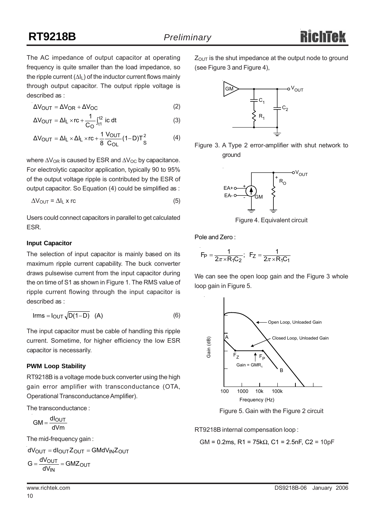The AC impedance of output capacitor at operating frequency is quite smaller than the load impedance, so the ripple current  $(\Delta I_L)$  of the inductor current flows mainly through output capacitor. The output ripple voltage is described as :

$$
\Delta V_{\text{OUT}} = \Delta V_{\text{OR}} + \Delta V_{\text{OC}} \tag{2}
$$

$$
\Delta V_{\text{OUT}} = \Delta I_{\text{L}} \times \text{rc} + \frac{1}{C_{\text{O}}} \int_{t_1}^{t_2} \text{ ic dt} \tag{3}
$$

$$
\Delta V_{\text{OUT}} = \Delta I_{\text{L}} \times \Delta I_{\text{L}} \times rc + \frac{1}{8} \frac{V_{\text{OUT}}}{C_{\text{OL}}} (1 - D)T_{\text{S}}^2 \tag{4}
$$

where  $\Delta V_{OR}$  is caused by ESR and  $\Delta V_{OC}$  by capacitance. For electrolytic capacitor application, typically 90 to 95% of the output voltage ripple is contributed by the ESR of output capacitor. So Equation (4) could be simplified as :

$$
\Delta V_{\text{OUT}} = \Delta I_{\text{L}} \times r\text{c}
$$
 (5)

Users could connect capacitors in parallel to get calculated ESR.

#### **Input Capacitor**

The selection of input capacitor is mainly based on its maximum ripple current capability. The buck converter draws pulsewise current from the input capacitor during the on time of S1 as shown in Figure 1. The RMS value of ripple current flowing through the input capacitor is described as :

$$
Irms = I_{OUT} \sqrt{D(1-D)} \quad (A)
$$
 (6)

The input capacitor must be cable of handling this ripple current. Sometime, for higher efficiency the low ESR capacitor is necessarily.

#### **PWM Loop Stability**

RT9218B is a voltage mode buck converter using the high gain error amplifier with transconductance (OTA, Operational Transconductance Amplifier).

The transconductance :

 $GM = \frac{dl_{\text{OUT}}}{dVm}$ 

The mid-frequency gain:

$$
dV_{OUT} = dl_{OUT}Z_{OUT} = GMdV_{IN}Z_{OUT}
$$

$$
G = \frac{dV_{OUT}}{dV} = GMZ_{OUT}
$$

10

dV<sub>IN</sub>

 $Z<sub>OUT</sub>$  is the shut impedance at the output node to ground (see Figure 3 and Figure 4),



Figure 3. A Type 2 error-amplifier with shut network to ground



Figure 4. Equivalent circuit

Pole and Zero :

$$
F_P = \frac{1}{2\pi \times R_1 C_2}
$$
;  $F_Z = \frac{1}{2\pi \times R_1 C_1}$ 

We can see the open loop gain and the Figure 3 whole loop gain in Figure 5.



Figure 5. Gain with the Figure 2 circuit

RT9218B internal compensation loop :

$$
GM = 0.2
$$
ms,  $R1 = 75k\Omega$ ,  $C1 = 2.5$ nF,  $C2 = 10$ pF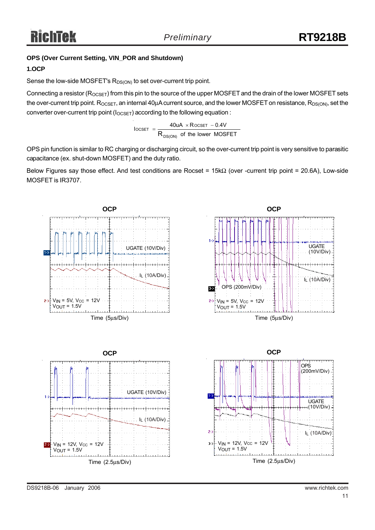## **OPS (Over Current Setting, VIN\_POR and Shutdown)**

## **1.OCP**

Sense the low-side MOSFET's  $R_{DS(ON)}$  to set over-current trip point.

Connecting a resistor ( $R_{OCSET}$ ) from this pin to the source of the upper MOSFET and the drain of the lower MOSFET sets the over-current trip point.  $R_{OCSET}$ , an internal 40 $\mu$ A current source, and the lower MOSFET on resistance,  $R_{DS(ON)}$ , set the converter over-current trip point ( $I_{OCSET}$ ) according to the following equation :

> of the lower MOSFET  $\text{IocSET}$  =  $\frac{40 \text{UA} \times \text{RocSET} - 0.4 \text{V}}{200 \text{ AU}}$ DS(ON)  $\text{OCSET}$  =  $\frac{40 \text{UA} \times \text{ROCSET}}{R_{\text{DS}(\text{ON})}}$  of the lower  $=\frac{40uA \times R$  ocset –

OPS pin function is similar to RC charging or discharging circuit, so the over-current trip point is very sensitive to parasitic capacitance (ex. shut-down MOSFET) and the duty ratio.

Below Figures say those effect. And test conditions are Rocset = 15kΩ (over -current trip point = 20.6A), Low-side MOSFET is IR3707.

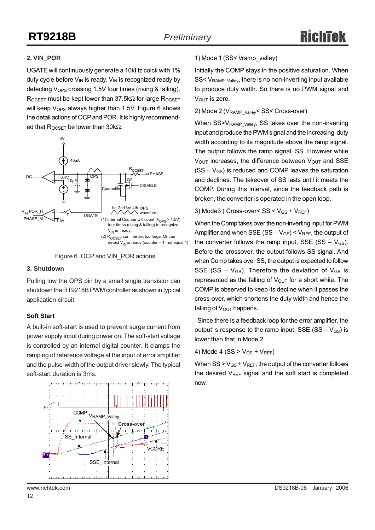## **2. VIN\_POR**

UGATE will continuously generate a 10kHz colck with 1% duty cycle before  $V_{IN}$  is ready.  $V_{IN}$  is recognized ready by detecting  $V_{OPS}$  crossing 1.5V four times (rising & falling). ROCSET must be kept lower than 37.5k $\Omega$  for large ROCSET will keep  $V_{\text{OPS}}$  always higher than 1.5V. Figure 6 shows the detail actions of OCP and POR. It is highly recommended that  $R_{OCSET}$  be lower than 30k $\Omega$ .

![](_page_11_Figure_5.jpeg)

![](_page_11_Figure_6.jpeg)

#### **3. Shutdown**

Pulling low the OPS pin by a small single transistor can shutdown the RT9218B PWM controller as shown in typical application circuit.

#### **Soft Start**

A built-in soft-start is used to prevent surge current from power supply input during power on. The soft-start voltage is controlled by an internal digital counter. It clamps the ramping of reference voltage at the input of error amplifier and the pulse-width of the output driver slowly. The typical soft-start duration is 3ms.

![](_page_11_Figure_11.jpeg)

## 1) Mode 1 (SS< Vramp\_valley)

Initially the COMP stays in the positive saturation. When SS< V<sub>RAMP\_Valley</sub>, there is no non-inverting input available to produce duty width. So there is no PWM signal and  $V_{\text{OUT}}$  is zero.

#### 2) Mode 2 (V<sub>RAMP\_Valley</sub>< SS< Cross-over)

When SS>V<sub>RAMP\_Valley</sub>, SS takes over the non-inverting input and produce the PWM signal and the increasing duty width according to its magnitude above the ramp signal. The output follows the ramp signal, SS. However while  $V<sub>OUT</sub>$  increases, the difference between  $V<sub>OUT</sub>$  and SSE  $(SS - V_{GS})$  is reduced and COMP leaves the saturation and declines. The takeover of SS lasts until it meets the COMP. During this interval, since the feedback path is broken, the converter is operated in the open loop.

#### 3) Mode3 ( Cross-over<  $SS < V_{GS} + V_{REF}$ )

When the Comp takes over the non-inverting input for PWM Amplifier and when SSE (SS –  $V_{GS}$ ) <  $V_{REF}$ , the output of the converter follows the ramp input, SSE (SS –  $V_{GS}$ ). Before the crossover, the output follows SS signal. And when Comp takes over SS, the output is expected to follow SSE (SS –  $V_{GS}$ ). Therefore the deviation of  $V_{GS}$  is represented as the falling of  $V_{\text{OUT}}$  for a short while. The COMP is observed to keep its decline when it passes the cross-over, which shortens the duty width and hence the falling of  $V_{\text{OUT}}$  happens.

 Since there is a feedback loop for the error amplifier, the output' s response to the ramp input, SSE (SS –  $V_{GS}$ ) is lower than that in Mode 2.

4) Mode 4 (SS  $>$  V<sub>GS</sub> + V<sub>REF</sub>)

When  $SS > V_{GS} + V_{REF}$ , the output of the converter follows the desired  $V_{REF}$  signal and the soft start is completed now.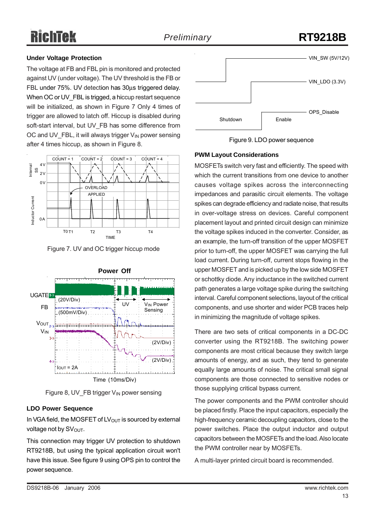# Richīek

## *Preliminary* **RT9218B**

## **Under Voltage Protection**

The voltage at FB and FBL pin is monitored and protected against UV (under voltage). The UV threshold is the FB or FBL under 75%. UV detection has 30μs triggered delay. When OC or UV FBL is trigged, a hiccup restart sequence will be initialized, as shown in Figure 7 Only 4 times of trigger are allowed to latch off. Hiccup is disabled during soft-start interval, but UV\_FB has some difference from OC and UV FBL, it will always trigger  $V_{\text{IN}}$  power sensing after 4 times hiccup, as shown in Figure 8.

![](_page_12_Figure_5.jpeg)

Figure 7. UV and OC trigger hiccup mode

![](_page_12_Figure_7.jpeg)

Figure 8, UV FB trigger  $V_{\text{IN}}$  power sensing

## **LDO Power Sequence**

In VGA field, the MOSFET of  $LV<sub>OUT</sub>$  is sourced by external voltage not by  $SV<sub>OUT</sub>$ .

This connection may trigger UV protection to shutdown RT9218B, but using the typical application circuit won't have this issue. See figure 9 using OPS pin to control the power sequence.

![](_page_12_Figure_12.jpeg)

Figure 9. LDO power sequence

## **PWM Layout Considerations**

MOSFETs switch very fast and efficiently. The speed with which the current transitions from one device to another causes voltage spikes across the interconnecting impedances and parasitic circuit elements. The voltage spikes can degrade efficiency and radiate noise, that results in over-voltage stress on devices. Careful component placement layout and printed circuit design can minimize the voltage spikes induced in the converter. Consider, as an example, the turn-off transition of the upper MOSFET prior to turn-off, the upper MOSFET was carrying the full load current. During turn-off, current stops flowing in the upper MOSFET and is picked up by the low side MOSFET or schottky diode. Any inductance in the switched current path generates a large voltage spike during the switching interval. Careful component selections, layout of the critical components, and use shorter and wider PCB traces help in minimizing the magnitude of voltage spikes.

There are two sets of critical components in a DC-DC converter using the RT9218B. The switching power components are most critical because they switch large amounts of energy, and as such, they tend to generate equally large amounts of noise. The critical small signal components are those connected to sensitive nodes or those supplying critical bypass current.

The power components and the PWM controller should be placed firstly. Place the input capacitors, especially the high-frequency ceramic decoupling capacitors, close to the power switches. Place the output inductor and output capacitors between the MOSFETs and the load. Also locate the PWM controller near by MOSFETs.

A multi-layer printed circuit board is recommended.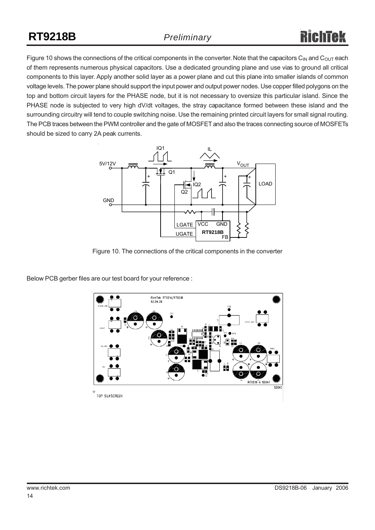Figure 10 shows the connections of the critical components in the converter. Note that the capacitors C<sub>IN</sub> and C<sub>OUT</sub> each of them represents numerous physical capacitors. Use a dedicated grounding plane and use vias to ground all critical components to this layer. Apply another solid layer as a power plane and cut this plane into smaller islands of common voltage levels. The power plane should support the input power and output power nodes. Use copper filled polygons on the top and bottom circuit layers for the PHASE node, but it is not necessary to oversize this particular island. Since the PHASE node is subjected to very high dV/dt voltages, the stray capacitance formed between these island and the surrounding circuitry will tend to couple switching noise. Use the remaining printed circuit layers for small signal routing. The PCB traces between the PWM controller and the gate of MOSFET and also the traces connecting source of MOSFETs should be sized to carry 2A peak currents.

![](_page_13_Figure_4.jpeg)

Figure 10. The connections of the critical components in the converter

Below PCB gerber files are our test board for your reference :

![](_page_13_Figure_7.jpeg)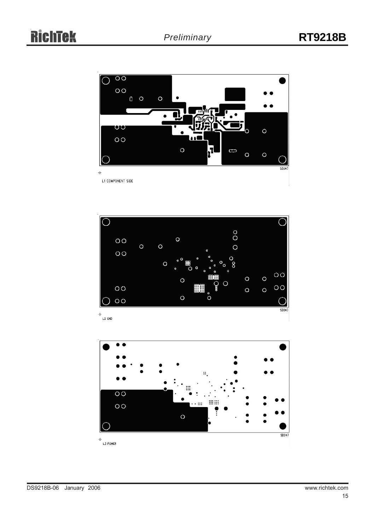![](_page_14_Figure_3.jpeg)

![](_page_14_Figure_4.jpeg)

![](_page_14_Figure_5.jpeg)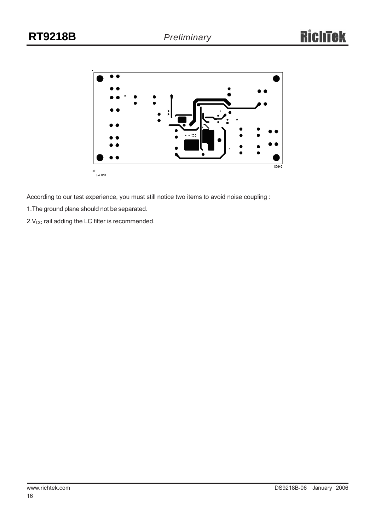![](_page_15_Figure_3.jpeg)

According to our test experience, you must still notice two items to avoid noise coupling :

1.The ground plane should not be separated.

 $2.V_{CC}$  rail adding the LC filter is recommended.